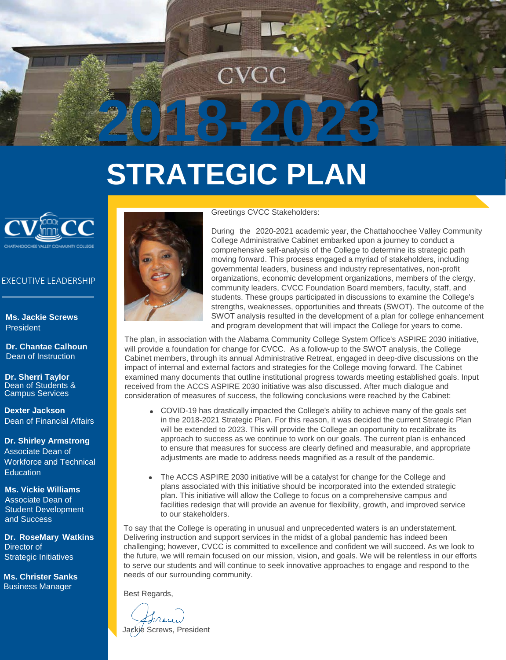

# **STRATEGIC PLAN**



### EXECUTIVE LEADERSHIP

**Ms. Jackie Screws** President

**Dr. Chantae Calhoun** Dean of Instruction

**Dr. Sherri Taylor**  Dean of Students & Campus Services

**Dexter Jackson** Dean of Financial Affairs

**Dr. Shirley Armstrong**  Associate Dean of Workforce and Technical Education

**Ms. Vickie Williams**  Associate Dean of Student Development and Success

**Dr. RoseMary Watkins** Director of Strategic Initiatives

**Ms. Christer Sanks** Business Manager



### Greetings CVCC Stakeholders:

During the 2020-2021 academic year, the Chattahoochee Valley Community College Administrative Cabinet embarked upon a journey to conduct a comprehensive self-analysis of the College to determine its strategic path moving forward. This process engaged a myriad of stakeholders, including governmental leaders, business and industry representatives, non-profit organizations, economic development organizations, members of the clergy, community leaders, CVCC Foundation Board members, faculty, staff, and students. These groups participated in discussions to examine the College's strengths, weaknesses, opportunities and threats (SWOT). The outcome of the SWOT analysis resulted in the development of a plan for college enhancement and program development that will impact the College for years to come.

The plan, in association with the Alabama Community College System Office's ASPIRE 2030 initiative, will provide a foundation for change for CVCC. As a follow-up to the SWOT analysis, the College Cabinet members, through its annual Administrative Retreat, engaged in deep-dive discussions on the impact of internal and external factors and strategies for the College moving forward. The Cabinet examined many documents that outline institutional progress towards meeting established goals. Input received from the ACCS ASPIRE 2030 initiative was also discussed. After much dialogue and consideration of measures of success, the following conclusions were reached by the Cabinet:

- COVID-19 has drastically impacted the College's ability to achieve many of the goals set in the 2018-2021 Strategic Plan. For this reason, it was decided the current Strategic Plan will be extended to 2023. This will provide the College an opportunity to recalibrate its approach to success as we continue to work on our goals. The current plan is enhanced to ensure that measures for success are clearly defined and measurable, and appropriate adjustments are made to address needs magnified as a result of the pandemic.
- The ACCS ASPIRE 2030 initiative will be a catalyst for change for the College and plans associated with this initiative should be incorporated into the extended strategic plan. This initiative will allow the College to focus on a comprehensive campus and facilities redesign that will provide an avenue for flexibility, growth, and improved service to our stakeholders.

To say that the College is operating in unusual and unprecedented waters is an understatement. Delivering instruction and support services in the midst of a global pandemic has indeed been challenging; however, CVCC is committed to excellence and confident we will succeed. As we look to the future, we will remain focused on our mission, vision, and goals. We will be relentless in our efforts to serve our students and will continue to seek innovative approaches to engage and respond to the needs of our surrounding community.

Best Regards,

Jackie Screws, President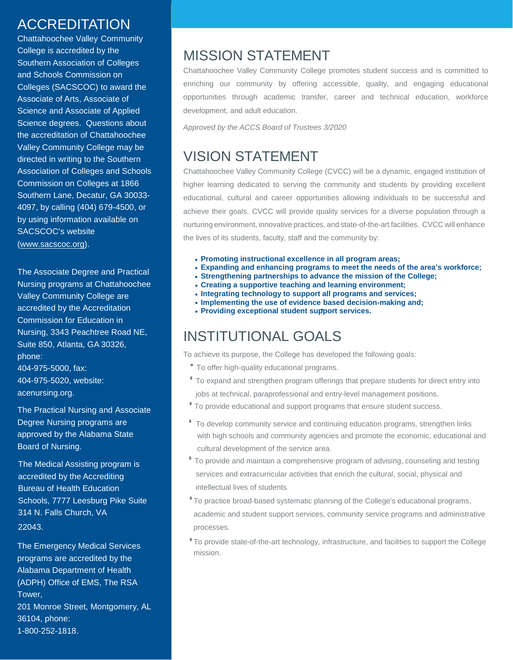### ACCREDITATION

Chattahoochee Valley Community College is accredited by the Southern Association of Colleges and Schools Commission on Colleges (SACSCOC) to award the Associate of Arts, Associate of Science and Associate of Applied Science degrees. Questions about the accreditation of Chattahoochee Valley Community College may be directed in writing to the Southern Association of Colleges and Schools Commission on Colleges at 1866 Southern Lane, Decatur, GA 30033- 4097, by calling (404) 679-4500, or by using information available on SACSCOC's website [\(www.sacscoc.org\)](http://www.sacscoc.org/).

The Associate Degree and Practical Nursing programs at Chattahoochee Valley Community College are accredited by the Accreditation Commission for Education in Nursing, 3343 Peachtree Road NE, Suite 850, Atlanta, GA 30326, phone: 404-975-5000, fax: 404-975-5020, website: acenursing.org.

The Practical Nursing and Associate Degree Nursing programs are approved by the Alabama State Board of Nursing.

The Medical Assisting program is accredited by the Accrediting Bureau of Health Education Schools, 7777 Leesburg Pike Suite 314 N. Falls Church, VA 22043.

The Emergency Medical Services programs are accredited by the Alabama Department of Health (ADPH) Office of EMS, The RSA Tower, 201 Monroe Street, Montgomery, AL 36104, phone: 1-800-252-1818.

### MISSION STATEMENT

Chattahoochee Valley Community College promotes student success and is committed to enriching our community by offering accessible, quality, and engaging educational opportunities through academic transfer, career and technical education, workforce development, and adult education.

*Approved by the ACCS Board of Trustees 3/2020*

### VISION STATEMENT

Chattahoochee Valley Community College (CVCC) will be a dynamic, engaged institution of higher learning dedicated to serving the community and students by providing excellent educational, cultural and career opportunities allowing individuals to be successful and achieve their goals. CVCC will provide quality services for a diverse population through a nurturing environment, innovative practices, and state-of-the-art facilities. CVCC will enhance the lives of its students, faculty, staff and the community by:

- **• Promoting instructional excellence in all program areas;**
- **• Expanding and enhancing programs to meet the needs of the area's workforce;**
- **• Strengthening partnerships to advance the mission of the College;**
- **• Creating a supportive teaching and learning environment;**
- **• Integrating technology to support all programs and services;**
- **• Implementing the use of evidence based decision-making and;**
- **• Providing exceptional student support services.**

### INSTITUTIONAL GOALS

To achieve its purpose, the College has developed the following goals:

- To offer high-quality educational programs.
- To expand and strengthen program offerings that prepare students for direct entry into jobs at technical, paraprofessional and entry-level management positions.
- To provide educational and support programs that ensure student success.
- To develop community service and continuing education programs, strengthen links with high schools and community agencies and promote the economic, educational and cultural development of the service area.
- To provide and maintain a comprehensive program of advising, counseling and testing services and extracurricular activities that enrich the cultural, social, physical and intellectual lives of students.
- •To practice broad-based systematic planning of the College's educational programs, academic and student support services, community service programs and administrative processes.
- •To provide state-of-the-art technology, infrastructure, and facilities to support the College mission.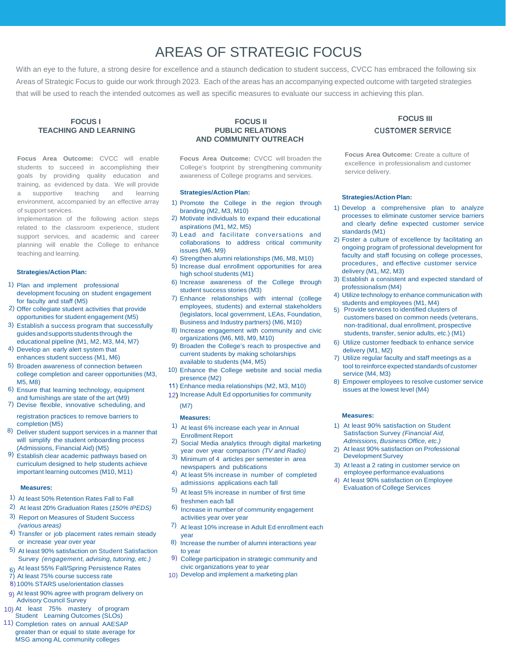### AREAS OF STRATEGIC FOCUS

With an eye to the future, a strong desire for excellence and a staunch dedication to student success, CVCC has embraced the following six Areas of Strategic Focus to guide our work through 2023. Each of the areas has an accompanying expected outcome with targeted strategies that will be used to reach the intended outcomes as well as specific measures to evaluate our success in achieving this plan.

#### **FOCUS I TEACHING AND LEARNING**

**Focus Area Outcome:** CVCC will enable students to succeed in accomplishing their goals by providing quality education and training, as evidenced by data. We will provide supportive teaching and learning environment, accompanied by an effective array of support services.

Implementation of the following action steps related to the classroom experience, student support services, and academic and career planning will enable the College to enhance teaching and learning.

#### **Strategies/Action Plan:**

- 1) Plan and implement professional development focusing on student engagement for faculty and staff (M5)
- 2) Offer collegiate student activities that provide opportunities for student engagement (M5)
- 3) Establish a success program that successfully guidesandsupports students through the educational pipeline (M1, M2, M3, M4, M7)
- 4) Develop an early alert system that enhances student success (M1, M6)
- 5) Broaden awareness of connection between college completion and career opportunities (M3, M5, M8)
- 6) Ensure that learning technology, equipment and furnishings are state of the art (M9)
- 7) Devise flexible, innovative scheduling, and registration practices to remove barriers to **Measures: Measures:**
- completion (M5)
- 8) Deliver student support services in a manner that will simplify the student onboarding process (Admissions, Financial Aid) (M5)
- 9) Establish clear academic pathways based on curriculum designed to help students achieve important learning outcomes (M10, M11)

#### **Measures:**

- 1) At least 50% Retention Rates Fall to Fall
- 2) At least 20% Graduation Rates (*150% IPEDS)*
- 3) Report on Measures of Student Success *(various areas)*
- 4) Transfer or job placement rates remain steady or increase year over year
- 5) At least 90% satisfaction on Student Satisfaction Survey *(engagement, advising, tutoring, etc.)*
- 6) At least 55% Fall/Spring Persistence Rates
- At least 75% course success rate
- 100% STARS use/orientation classes
- 9) At least 90% agree with program delivery on Advisory Council Survey
- 10) At least 75% mastery of program Student Learning Outcomes (SLOs)
- 11) Completion rates on annual AAESAP greater than or equal to state average for MSG among AL community colleges

#### **FOCUS II PUBLIC RELATIONS AND COMMUNITY OUTREACH**

**Focus Area Outcome:** CVCC will broaden the College's footprint by strengthening community awareness of College programs and services.

#### **Strategies/Action Plan:**

- 1) Promote the College in the region through branding (M2, M3, M10)
- 2) Motivate individuals to expand their educational aspirations (M1, M2, M5)
- 3) Lead and facilitate conversations and collaborations to address critical community issues (M6, M9)
- 4) Strengthen alumni relationships (M6, M8, M10)
- 5) Increase dual enrollment opportunities for area high school students (M1)
- 6) Increase awareness of the College through student success stories (M3)
- 7) Enhance relationships with internal (college employees, students) and external stakeholders (legislators, local government, LEAs, Foundation, Business and Industry partners) (M6, M10)
- 8) Increase engagement with community and civic organizations (M6, M8, M9, M10)
- 9) Broaden the College's reach to prospective and current students by making scholarships available to students (M4, M5)
- 10) Enhance the College website and social media presence (M2)
- Enhance media relationships (M2, M3, M10)
- 12) Increase Adult Ed opportunities for community (M7)

- 1) At least 6% increase each year in Annual
- Enrollment Report 2) Social Media analytics through digital marketing year over year comparison *(TV and Radio)*
- 3) Minimum of 4 articles per semester in area
- newspapers and publications 4) At least 5% increase in number of completed admissions applications each fall
- 5) At least 5% increase in number of first time freshmen each fall
- 6) Increase in number of community engagement activities year over year
- 7) At least 10% increase in Adult Ed enrollment each year
- 8) Increase the number of alumni interactions year to year
- 9) College participation in strategic community and civic organizations year to year
- 10) Develop and implement a marketing plan

# **FOCUS III**

**Focus Area Outcome:** Create a culture of excellence in professionalism and customer service delivery.

#### **Strategies/Action Plan:**

- 1) Develop a comprehensive plan to analyze processes to eliminate customer service barriers and clearly define expected customer service standards (M1)
- 2) Foster a culture of excellence by facilitating an ongoing program of professional development for faculty and staff focusing on college processes, procedures, and effective customer service delivery (M1, M2, M3)
- 3) Establish a consistent and expected standard of professionalism (M4)
- 4) Utilize technology to enhance communication with students and employees (M1, M4)
- 5) Provide services to identified clusters of customers based on common needs (veterans, non-traditional, dual enrollment, prospective students, transfer, senior adults, etc.) (M1)
- 6) Utilize customer feedback to enhance service delivery (M1, M2)
- 7) Utilize regular faculty and staff meetings as a tool to reinforce expected standards of customer service (M4, M3)
- 8) Empower employees to resolve customer service issues at the lowest level (M4)

- 1) At least 90% satisfaction on Student Satisfaction Survey *(Financial Aid, Admissions, Business Office, etc.)*
- 2) At least 90% satisfaction on Professional Development Survey
- 3) At least a 2 rating in customer service on employee performance evaluations
- At least 90% satisfaction on Employee Evaluation of College Services

# **CUSTOMER SERVICE**